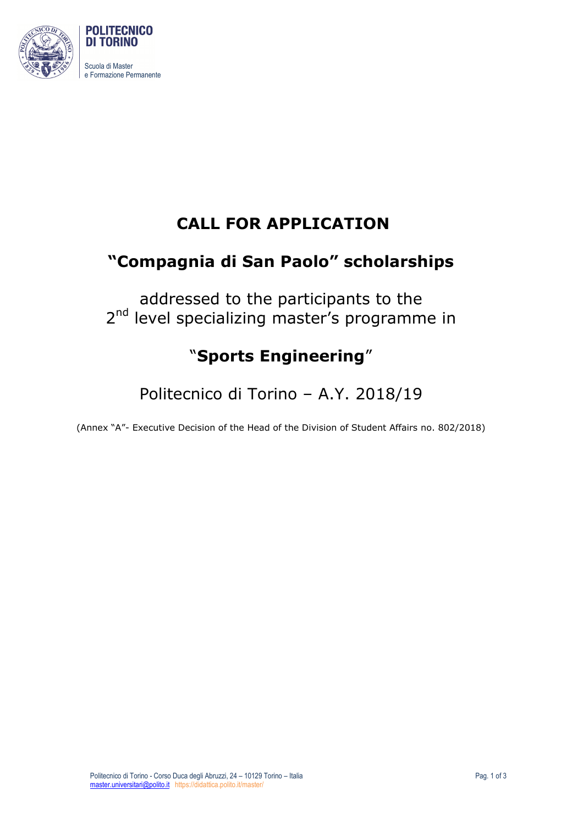

## **CALL FOR APPLICATION**

# **"Compagnia di San Paolo" scholarships**

addressed to the participants to the 2<sup>nd</sup> level specializing master's programme in

# "**Sports Engineering**"

Politecnico di Torino – A.Y. 2018/19

(Annex "A"- Executive Decision of the Head of the Division of Student Affairs no. 802/2018)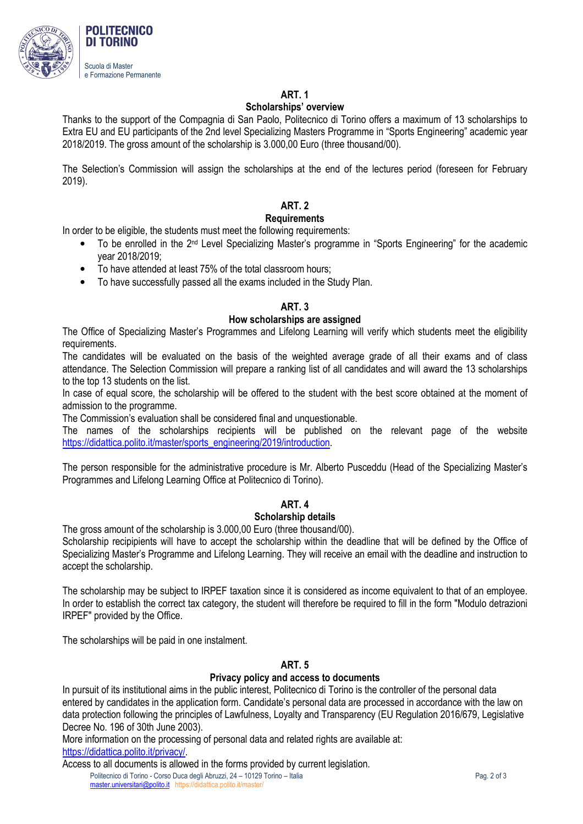

### **ART. 1**

#### **Scholarships' overview**

Thanks to the support of the Compagnia di San Paolo, Politecnico di Torino offers a maximum of 13 scholarships to Extra EU and EU participants of the 2nd level Specializing Masters Programme in "Sports Engineering" academic year 2018/2019. The gross amount of the scholarship is 3.000,00 Euro (three thousand/00).

The Selection's Commission will assign the scholarships at the end of the lectures period (foreseen for February 2019).

## **ART. 2**

#### **Requirements**

In order to be eligible, the students must meet the following requirements:

- To be enrolled in the 2nd Level Specializing Master's programme in "Sports Engineering" for the academic year 2018/2019;
- To have attended at least 75% of the total classroom hours;
- To have successfully passed all the exams included in the Study Plan.

#### **ART. 3**

#### **How scholarships are assigned**

The Office of Specializing Master's Programmes and Lifelong Learning will verify which students meet the eligibility requirements.

The candidates will be evaluated on the basis of the weighted average grade of all their exams and of class attendance. The Selection Commission will prepare a ranking list of all candidates and will award the 13 scholarships to the top 13 students on the list.

In case of equal score, the scholarship will be offered to the student with the best score obtained at the moment of admission to the programme.

The Commission's evaluation shall be considered final and unquestionable.

The names of the scholarships recipients will be published on the relevant page of the website https://didattica.polito.it/master/sports\_engineering/2019/introduction.

The person responsible for the administrative procedure is Mr. Alberto Pusceddu (Head of the Specializing Master's Programmes and Lifelong Learning Office at Politecnico di Torino).

#### **ART. 4**

#### **Scholarship details**

The gross amount of the scholarship is 3.000,00 Euro (three thousand/00).

Scholarship recipipients will have to accept the scholarship within the deadline that will be defined by the Office of Specializing Master's Programme and Lifelong Learning. They will receive an email with the deadline and instruction to accept the scholarship.

The scholarship may be subject to IRPEF taxation since it is considered as income equivalent to that of an employee. In order to establish the correct tax category, the student will therefore be required to fill in the form "Modulo detrazioni IRPEF" provided by the Office.

The scholarships will be paid in one instalment.

#### **ART. 5**

#### **Privacy policy and access to documents**

In pursuit of its institutional aims in the public interest, Politecnico di Torino is the controller of the personal data entered by candidates in the application form. Candidate's personal data are processed in accordance with the law on data protection following the principles of Lawfulness, Loyalty and Transparency (EU Regulation 2016/679, Legislative Decree No. 196 of 30th June 2003).

More information on the processing of personal data and related rights are available at: https://didattica.polito.it/privacy/.

Politecnico di Torino - Corso Duca degli Abruzzi, 24 – 10129 Torino – Italia Pag. 2 of 3 master.universitari@polito.it https://didattica.polito.it/master/ Access to all documents is allowed in the forms provided by current legislation.